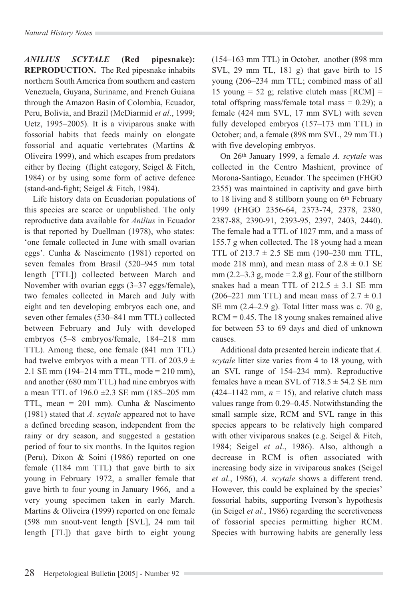*ANILIUS SCYTALE* **(Red pipesnake): REPRODUCTION.** The Red pipesnake inhabits northern South America from southern and eastern Venezuela, Guyana, Suriname, and French Guiana through the Amazon Basin of Colombia, Ecuador, Peru, Bolivia, and Brazil (McDiarmid *et al*., 1999; Uetz, 1995–2005). It is a viviparous snake with fossorial habits that feeds mainly on elongate fossorial and aquatic vertebrates (Martins & Oliveira 1999), and which escapes from predators either by fleeing (flight category, Seigel & Fitch, 1984) or by using some form of active defence (stand-and-fight; Seigel & Fitch, 1984).

Life history data on Ecuadorian populations of this species are scarce or unpublished. The only reproductive data available for *Anilius* in Ecuador is that reported by Duellman (1978), who states: 'one female collected in June with small ovarian eggs'. Cunha & Nascimento (1981) reported on seven females from Brasil (520–945 mm total length [TTL]) collected between March and November with ovarian eggs (3–37 eggs/female), two females collected in March and July with eight and ten developing embryos each one, and seven other females (530–841 mm TTL) collected between February and July with developed embryos (5–8 embryos/female, 184–218 mm TTL). Among these, one female (841 mm TTL) had twelve embryos with a mean TTL of 203.9  $\pm$ 2.1 SE mm (194–214 mm TTL, mode = 210 mm), and another (680 mm TTL) had nine embryos with a mean TTL of  $196.0 \pm 2.3$  SE mm  $(185-205$  mm TTL, mean = 201 mm). Cunha & Nascimento (1981) stated that *A. scytale* appeared not to have a defined breeding season, independent from the rainy or dry season, and suggested a gestation period of four to six months. In the Iquitos region (Peru), Dixon & Soini (1986) reported on one female (1184 mm TTL) that gave birth to six young in February 1972, a smaller female that gave birth to four young in January 1966, and a very young specimen taken in early March. Martins & Oliveira (1999) reported on one female (598 mm snout-vent length [SVL], 24 mm tail length [TL]) that gave birth to eight young

(154–163 mm TTL) in October, another (898 mm SVL, 29 mm TL, 181 g) that gave birth to 15 young (206–234 mm TTL; combined mass of all 15 young = 52 g; relative clutch mass  $[RCM] =$ total offspring mass/female total mass  $= 0.29$ ; a female (424 mm SVL, 17 mm SVL) with seven fully developed embryos (157–173 mm TTL) in October; and, a female (898 mm SVL, 29 mm TL) with five developing embryos.

On 26th January 1999, a female *A. scytale* was collected in the Centro Mashient, province of Morona-Santiago, Ecuador. The specimen (FHGO 2355) was maintained in captivity and gave birth to 18 living and 8 stillborn young on 6th February 1999 (FHGO 2356-64, 2373-74, 2378, 2380, 2387-88, 2390-91, 2393-95, 2397, 2403, 2440). The female had a TTL of 1027 mm, and a mass of 155.7 g when collected. The 18 young had a mean TTL of  $213.7 \pm 2.5$  SE mm (190–230 mm TTL, mode 218 mm), and mean mass of  $2.8 \pm 0.1$  SE mm (2.2–3.3 g, mode = 2.8 g). Four of the stillborn snakes had a mean TTL of  $212.5 \pm 3.1$  SE mm (206–221 mm TTL) and mean mass of  $2.7 \pm 0.1$ SE mm  $(2.4-2.9 \text{ g})$ . Total litter mass was c. 70 g,  $RCM = 0.45$ . The 18 young snakes remained alive for between 53 to 69 days and died of unknown causes.

Additional data presented herein indicate that *A. scytale* litter size varies from 4 to 18 young, with an SVL range of 154–234 mm). Reproductive females have a mean SVL of  $718.5 \pm 54.2$  SE mm  $(424-1142 \text{ mm}, n = 15)$ , and relative clutch mass values range from 0.29–0.45. Notwithstanding the small sample size, RCM and SVL range in this species appears to be relatively high compared with other viviparous snakes (e.g. Seigel & Fitch, 1984; Seigel *et al*., 1986). Also, although a decrease in RCM is often associated with increasing body size in viviparous snakes (Seigel *et al*., 1986), *A. scytale* shows a different trend. However, this could be explained by the species' fossorial habits, supporting Iverson's hypothesis (in Seigel *et al*., 1986) regarding the secretiveness of fossorial species permitting higher RCM. Species with burrowing habits are generally less